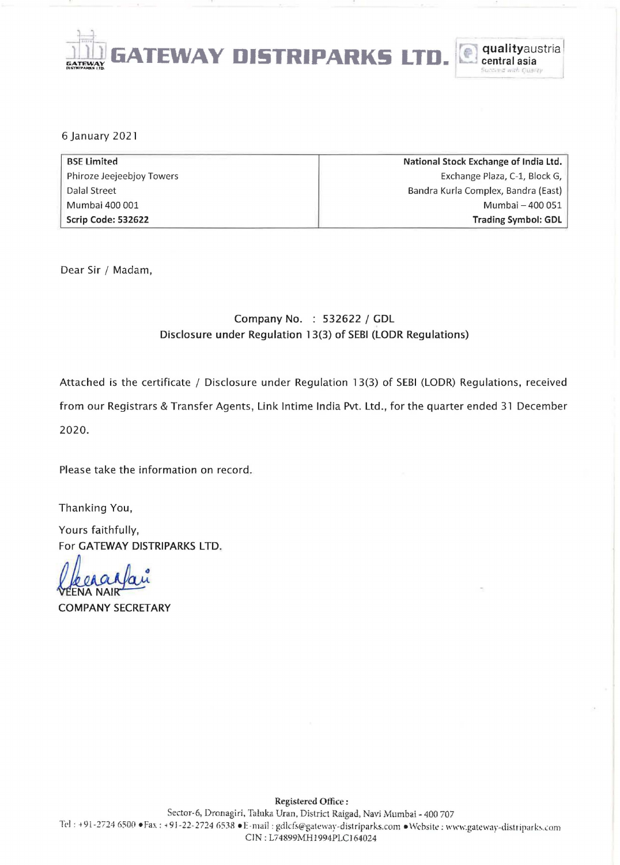

6 January 2021

| <b>BSE Limited</b>        | National Stock Exchange of India Ltd. |  |  |
|---------------------------|---------------------------------------|--|--|
| Phiroze Jeejeebjoy Towers | Exchange Plaza, C-1, Block G,         |  |  |
| Dalal Street              | Bandra Kurla Complex, Bandra (East)   |  |  |
| Mumbai 400 001            | Mumbai - 400 051                      |  |  |
| Scrip Code: 532622        | Trading Symbol: GDL                   |  |  |

Dear Sir / Madam,

## Company No. : 532622 / GDL Disclosure under Regulation 13(3) of SEBI (LODR Regulations)

Attached is the certificate / Disclosure under Regulation 13(3) of SEBI (LODR) Regulations, received

from our Registrars & Transfer Agents, Link Intime India Pvt. Ltd., for the quarter ended 31 December 2020.

Please take the information on record.

Thanking You,

Yours faithfully, For GATEWAY DISTRIPARKS LTD.

**COMPANY SECRETARY**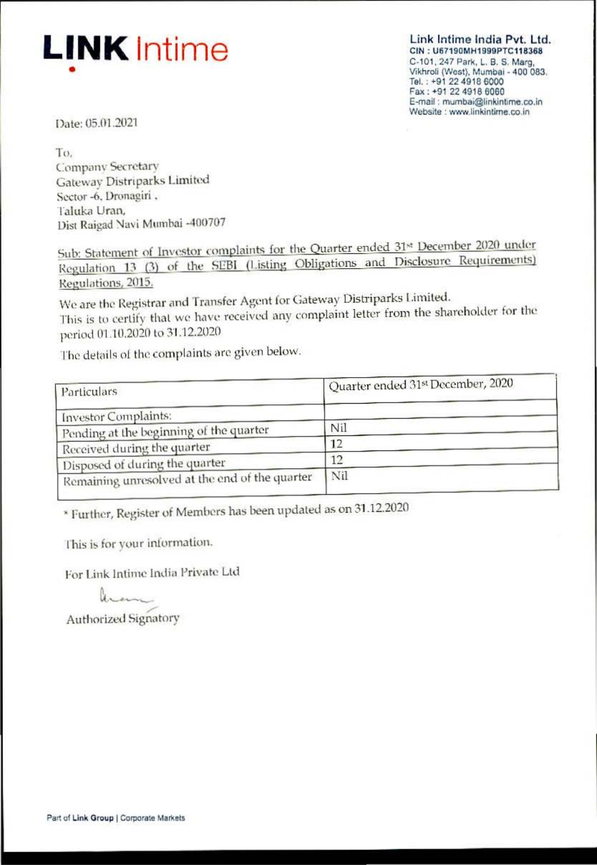

Link Intime India Pvt. Ltd. CIN: U67190MH1999PTC118368 C-101, 247 Park, L. B. S. Marg, Vikhroli (West), Mumbai - 400 083. Tel.: +91 22 4918 6000 Fax: +91 22 4918 6060 E-mail: mumbai@linkintime.co.in Website : www.linkintime.co.in

Date: 05.01.2021

To. Company Secretary Gateway Distriparks Limited Sector -6, Dronagiri, Taluka Uran. Dist Raigad Navi Mumbai -400707

Sub: Statement of Investor complaints for the Quarter ended 31st December 2020 under Regulation 13 (3) of the SEBI (Listing Obligations and Disclosure Requirements) Regulations, 2015.

We are the Registrar and Transfer Agent for Gateway Distriparks Limited. This is to certify that we have received any complaint letter from the shareholder for the period 01.10.2020 to 31.12.2020

The details of the complaints are given below.

| Particulars                                    | Quarter ended 31st December, 2020 |  |
|------------------------------------------------|-----------------------------------|--|
| <b>Investor Complaints:</b>                    |                                   |  |
| Pending at the beginning of the quarter        | Nil                               |  |
| Received during the quarter                    | 12                                |  |
| Disposed of during the quarter                 | 12                                |  |
| Remaining unresolved at the end of the quarter | Nil                               |  |

\* Further, Register of Members has been updated as on 31.12.2020

This is for your information.

For Link Intime India Private Ltd

hem

**Authorized Signatory**